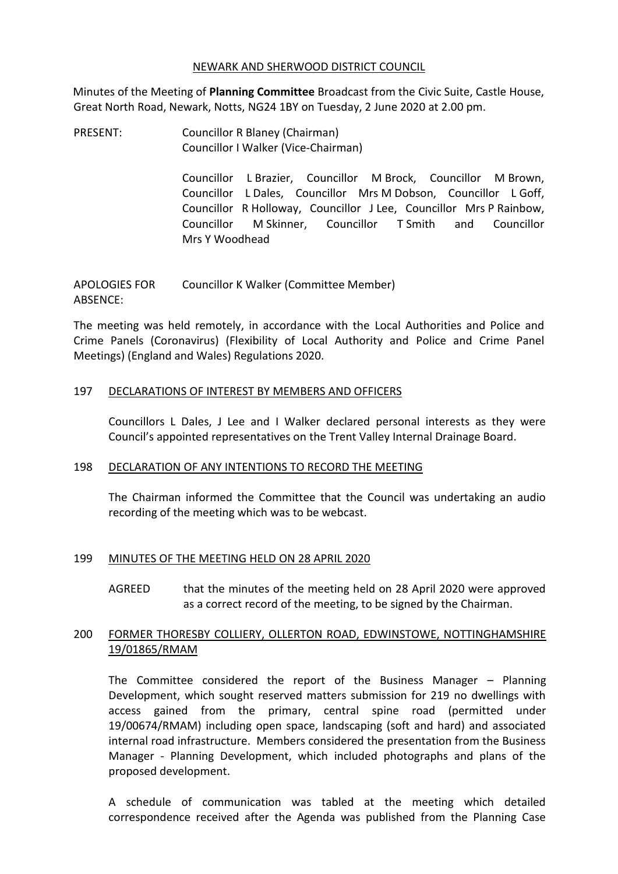#### NEWARK AND SHERWOOD DISTRICT COUNCIL

Minutes of the Meeting of **Planning Committee** Broadcast from the Civic Suite, Castle House, Great North Road, Newark, Notts, NG24 1BY on Tuesday, 2 June 2020 at 2.00 pm.

PRESENT: Councillor R Blaney (Chairman) Councillor I Walker (Vice-Chairman)

> Councillor L Brazier, Councillor M Brock, Councillor M Brown, Councillor L Dales, Councillor Mrs M Dobson, Councillor L Goff, Councillor R Holloway, Councillor J Lee, Councillor Mrs P Rainbow, Councillor M Skinner, Councillor T Smith and Councillor Mrs Y Woodhead

APOLOGIES FOR ABSENCE: Councillor K Walker (Committee Member)

The meeting was held remotely, in accordance with the Local Authorities and Police and Crime Panels (Coronavirus) (Flexibility of Local Authority and Police and Crime Panel Meetings) (England and Wales) Regulations 2020.

## 197 DECLARATIONS OF INTEREST BY MEMBERS AND OFFICERS

Councillors L Dales, J Lee and I Walker declared personal interests as they were Council's appointed representatives on the Trent Valley Internal Drainage Board.

## 198 DECLARATION OF ANY INTENTIONS TO RECORD THE MEETING

The Chairman informed the Committee that the Council was undertaking an audio recording of the meeting which was to be webcast.

## 199 MINUTES OF THE MEETING HELD ON 28 APRIL 2020

AGREED that the minutes of the meeting held on 28 April 2020 were approved as a correct record of the meeting, to be signed by the Chairman.

## 200 FORMER THORESBY COLLIERY, OLLERTON ROAD, EDWINSTOWE, NOTTINGHAMSHIRE 19/01865/RMAM

The Committee considered the report of the Business Manager – Planning Development, which sought reserved matters submission for 219 no dwellings with access gained from the primary, central spine road (permitted under 19/00674/RMAM) including open space, landscaping (soft and hard) and associated internal road infrastructure. Members considered the presentation from the Business Manager - Planning Development, which included photographs and plans of the proposed development.

A schedule of communication was tabled at the meeting which detailed correspondence received after the Agenda was published from the Planning Case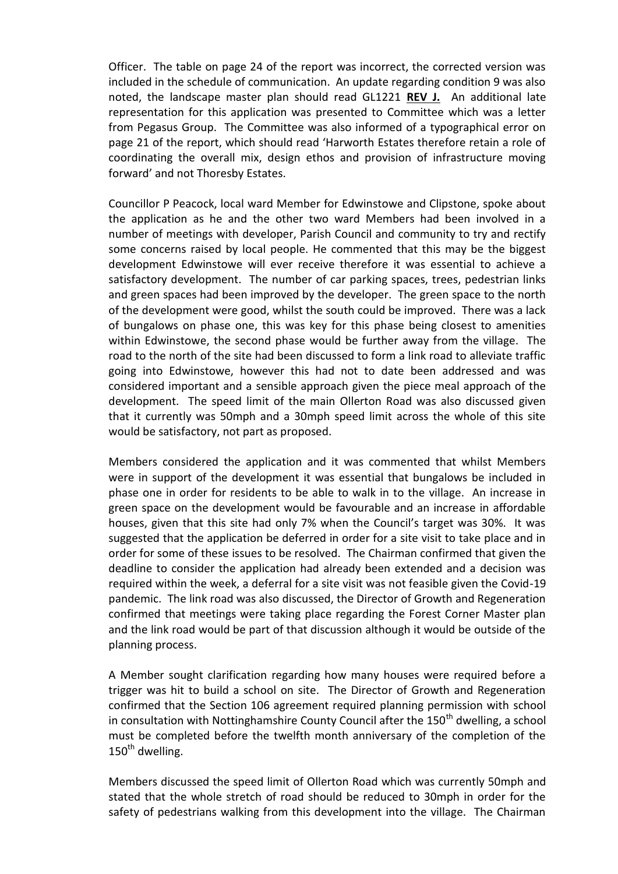Officer. The table on page 24 of the report was incorrect, the corrected version was included in the schedule of communication. An update regarding condition 9 was also noted, the landscape master plan should read GL1221 **REV J.** An additional late representation for this application was presented to Committee which was a letter from Pegasus Group. The Committee was also informed of a typographical error on page 21 of the report, which should read 'Harworth Estates therefore retain a role of coordinating the overall mix, design ethos and provision of infrastructure moving forward' and not Thoresby Estates.

Councillor P Peacock, local ward Member for Edwinstowe and Clipstone, spoke about the application as he and the other two ward Members had been involved in a number of meetings with developer, Parish Council and community to try and rectify some concerns raised by local people. He commented that this may be the biggest development Edwinstowe will ever receive therefore it was essential to achieve a satisfactory development. The number of car parking spaces, trees, pedestrian links and green spaces had been improved by the developer. The green space to the north of the development were good, whilst the south could be improved. There was a lack of bungalows on phase one, this was key for this phase being closest to amenities within Edwinstowe, the second phase would be further away from the village. The road to the north of the site had been discussed to form a link road to alleviate traffic going into Edwinstowe, however this had not to date been addressed and was considered important and a sensible approach given the piece meal approach of the development. The speed limit of the main Ollerton Road was also discussed given that it currently was 50mph and a 30mph speed limit across the whole of this site would be satisfactory, not part as proposed.

Members considered the application and it was commented that whilst Members were in support of the development it was essential that bungalows be included in phase one in order for residents to be able to walk in to the village. An increase in green space on the development would be favourable and an increase in affordable houses, given that this site had only 7% when the Council's target was 30%. It was suggested that the application be deferred in order for a site visit to take place and in order for some of these issues to be resolved. The Chairman confirmed that given the deadline to consider the application had already been extended and a decision was required within the week, a deferral for a site visit was not feasible given the Covid-19 pandemic. The link road was also discussed, the Director of Growth and Regeneration confirmed that meetings were taking place regarding the Forest Corner Master plan and the link road would be part of that discussion although it would be outside of the planning process.

A Member sought clarification regarding how many houses were required before a trigger was hit to build a school on site. The Director of Growth and Regeneration confirmed that the Section 106 agreement required planning permission with school in consultation with Nottinghamshire County Council after the  $150<sup>th</sup>$  dwelling, a school must be completed before the twelfth month anniversary of the completion of the  $150<sup>th</sup>$  dwelling.

Members discussed the speed limit of Ollerton Road which was currently 50mph and stated that the whole stretch of road should be reduced to 30mph in order for the safety of pedestrians walking from this development into the village. The Chairman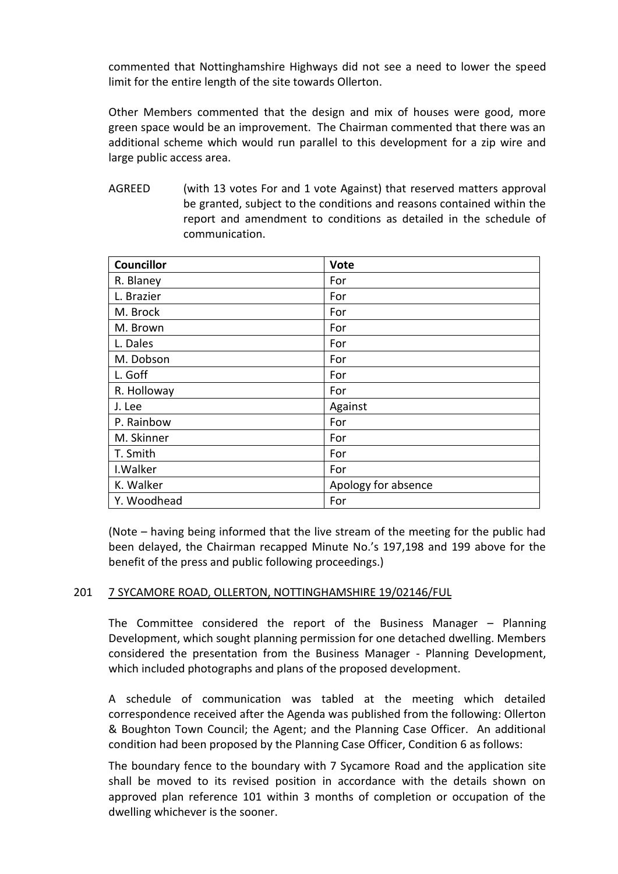commented that Nottinghamshire Highways did not see a need to lower the speed limit for the entire length of the site towards Ollerton.

Other Members commented that the design and mix of houses were good, more green space would be an improvement. The Chairman commented that there was an additional scheme which would run parallel to this development for a zip wire and large public access area.

AGREED (with 13 votes For and 1 vote Against) that reserved matters approval be granted, subject to the conditions and reasons contained within the report and amendment to conditions as detailed in the schedule of communication.

| <b>Councillor</b> | Vote                |
|-------------------|---------------------|
| R. Blaney         | For                 |
| L. Brazier        | For                 |
| M. Brock          | For                 |
| M. Brown          | For                 |
| L. Dales          | For                 |
| M. Dobson         | For                 |
| L. Goff           | For                 |
| R. Holloway       | For                 |
| J. Lee            | Against             |
| P. Rainbow        | For                 |
| M. Skinner        | For                 |
| T. Smith          | For                 |
| I. Walker         | For                 |
| K. Walker         | Apology for absence |
| Y. Woodhead       | For                 |

(Note – having being informed that the live stream of the meeting for the public had been delayed, the Chairman recapped Minute No.'s 197,198 and 199 above for the benefit of the press and public following proceedings.)

## 201 7 SYCAMORE ROAD, OLLERTON, NOTTINGHAMSHIRE 19/02146/FUL

The Committee considered the report of the Business Manager – Planning Development, which sought planning permission for one detached dwelling. Members considered the presentation from the Business Manager - Planning Development, which included photographs and plans of the proposed development.

A schedule of communication was tabled at the meeting which detailed correspondence received after the Agenda was published from the following: Ollerton & Boughton Town Council; the Agent; and the Planning Case Officer. An additional condition had been proposed by the Planning Case Officer, Condition 6 as follows:

The boundary fence to the boundary with 7 Sycamore Road and the application site shall be moved to its revised position in accordance with the details shown on approved plan reference 101 within 3 months of completion or occupation of the dwelling whichever is the sooner.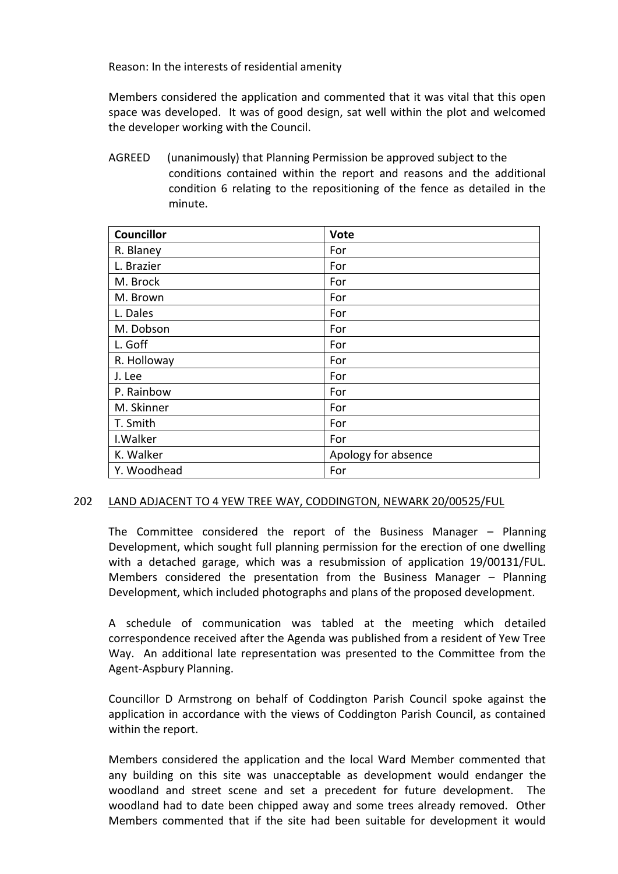Reason: In the interests of residential amenity

Members considered the application and commented that it was vital that this open space was developed. It was of good design, sat well within the plot and welcomed the developer working with the Council.

AGREED (unanimously) that Planning Permission be approved subject to the conditions contained within the report and reasons and the additional condition 6 relating to the repositioning of the fence as detailed in the minute.

| <b>Councillor</b> | Vote                |
|-------------------|---------------------|
| R. Blaney         | For                 |
| L. Brazier        | For                 |
| M. Brock          | For                 |
| M. Brown          | For                 |
| L. Dales          | For                 |
| M. Dobson         | For                 |
| L. Goff           | For                 |
| R. Holloway       | For                 |
| J. Lee            | For                 |
| P. Rainbow        | For                 |
| M. Skinner        | For                 |
| T. Smith          | For                 |
| I. Walker         | For                 |
| K. Walker         | Apology for absence |
| Y. Woodhead       | For                 |

## 202 LAND ADJACENT TO 4 YEW TREE WAY, CODDINGTON, NEWARK 20/00525/FUL

The Committee considered the report of the Business Manager – Planning Development, which sought full planning permission for the erection of one dwelling with a detached garage, which was a resubmission of application 19/00131/FUL. Members considered the presentation from the Business Manager – Planning Development, which included photographs and plans of the proposed development.

A schedule of communication was tabled at the meeting which detailed correspondence received after the Agenda was published from a resident of Yew Tree Way. An additional late representation was presented to the Committee from the Agent-Aspbury Planning.

Councillor D Armstrong on behalf of Coddington Parish Council spoke against the application in accordance with the views of Coddington Parish Council, as contained within the report.

Members considered the application and the local Ward Member commented that any building on this site was unacceptable as development would endanger the woodland and street scene and set a precedent for future development. The woodland had to date been chipped away and some trees already removed. Other Members commented that if the site had been suitable for development it would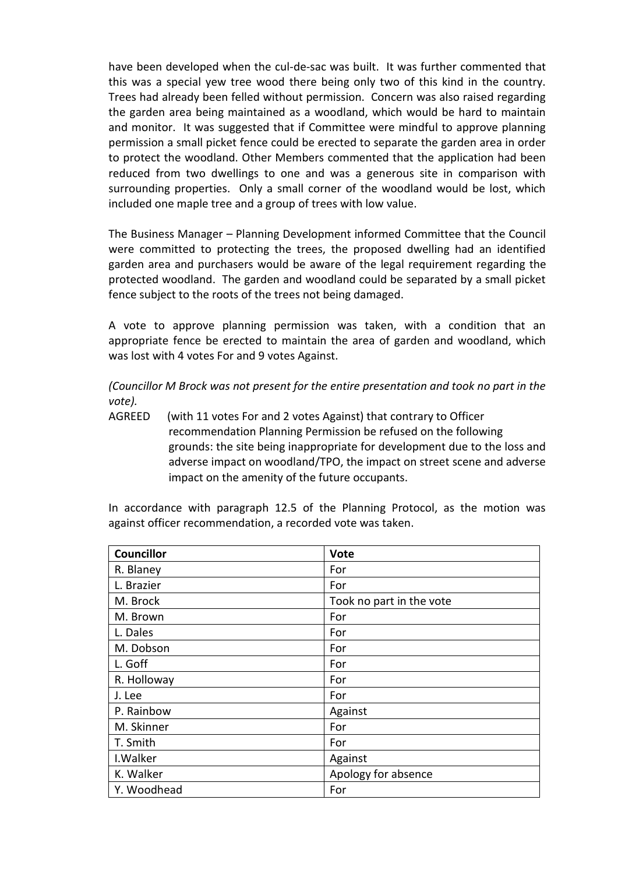have been developed when the cul-de-sac was built. It was further commented that this was a special yew tree wood there being only two of this kind in the country. Trees had already been felled without permission. Concern was also raised regarding the garden area being maintained as a woodland, which would be hard to maintain and monitor. It was suggested that if Committee were mindful to approve planning permission a small picket fence could be erected to separate the garden area in order to protect the woodland. Other Members commented that the application had been reduced from two dwellings to one and was a generous site in comparison with surrounding properties. Only a small corner of the woodland would be lost, which included one maple tree and a group of trees with low value.

The Business Manager – Planning Development informed Committee that the Council were committed to protecting the trees, the proposed dwelling had an identified garden area and purchasers would be aware of the legal requirement regarding the protected woodland. The garden and woodland could be separated by a small picket fence subject to the roots of the trees not being damaged.

A vote to approve planning permission was taken, with a condition that an appropriate fence be erected to maintain the area of garden and woodland, which was lost with 4 votes For and 9 votes Against.

*(Councillor M Brock was not present for the entire presentation and took no part in the vote).*

AGREED (with 11 votes For and 2 votes Against) that contrary to Officer recommendation Planning Permission be refused on the following grounds: the site being inappropriate for development due to the loss and adverse impact on woodland/TPO, the impact on street scene and adverse impact on the amenity of the future occupants.

In accordance with paragraph 12.5 of the Planning Protocol, as the motion was against officer recommendation, a recorded vote was taken.

| <b>Councillor</b> | <b>Vote</b>              |
|-------------------|--------------------------|
| R. Blaney         | For                      |
| L. Brazier        | For                      |
| M. Brock          | Took no part in the vote |
| M. Brown          | For                      |
| L. Dales          | For                      |
| M. Dobson         | For                      |
| L. Goff           | For                      |
| R. Holloway       | For                      |
| J. Lee            | For                      |
| P. Rainbow        | Against                  |
| M. Skinner        | For                      |
| T. Smith          | For                      |
| I. Walker         | Against                  |
| K. Walker         | Apology for absence      |
| Y. Woodhead       | For                      |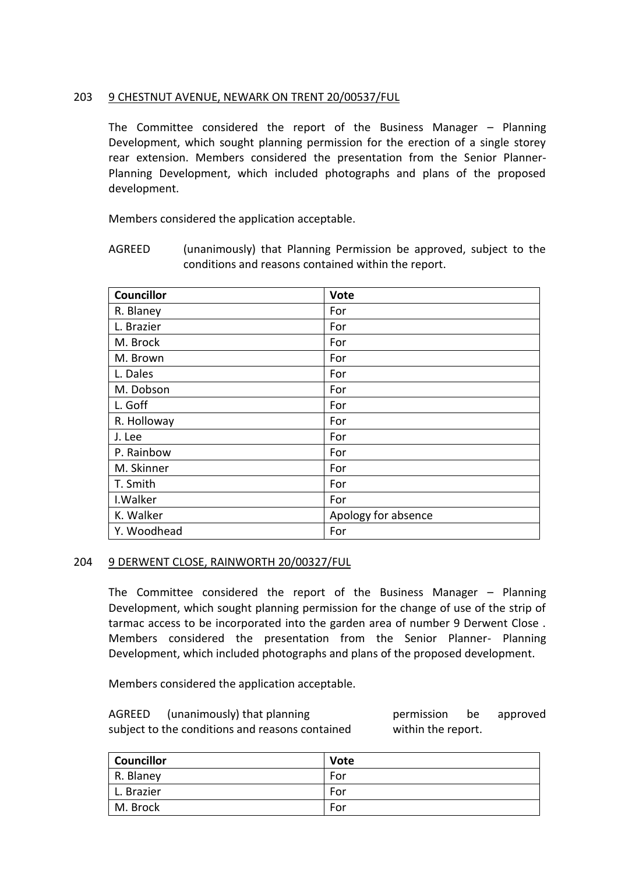## 203 9 CHESTNUT AVENUE, NEWARK ON TRENT 20/00537/FUL

The Committee considered the report of the Business Manager – Planning Development, which sought planning permission for the erection of a single storey rear extension. Members considered the presentation from the Senior Planner-Planning Development, which included photographs and plans of the proposed development.

Members considered the application acceptable.

AGREED (unanimously) that Planning Permission be approved, subject to the conditions and reasons contained within the report.

| <b>Councillor</b> | Vote                |
|-------------------|---------------------|
| R. Blaney         | For                 |
| L. Brazier        | For                 |
| M. Brock          | For                 |
| M. Brown          | For                 |
| L. Dales          | For                 |
| M. Dobson         | For                 |
| L. Goff           | For                 |
| R. Holloway       | For                 |
| J. Lee            | For                 |
| P. Rainbow        | For                 |
| M. Skinner        | For                 |
| T. Smith          | For                 |
| I. Walker         | For                 |
| K. Walker         | Apology for absence |
| Y. Woodhead       | For                 |

## 204 9 DERWENT CLOSE, RAINWORTH 20/00327/FUL

The Committee considered the report of the Business Manager – Planning Development, which sought planning permission for the change of use of the strip of tarmac access to be incorporated into the garden area of number 9 Derwent Close . Members considered the presentation from the Senior Planner- Planning Development, which included photographs and plans of the proposed development.

Members considered the application acceptable.

AGREED (unanimously) that planning permission be approved subject to the conditions and reasons contained within the report.

| <b>Councillor</b> | <b>Vote</b> |
|-------------------|-------------|
| R. Blaney         | For         |
| L. Brazier        | For         |
| M. Brock          | For         |